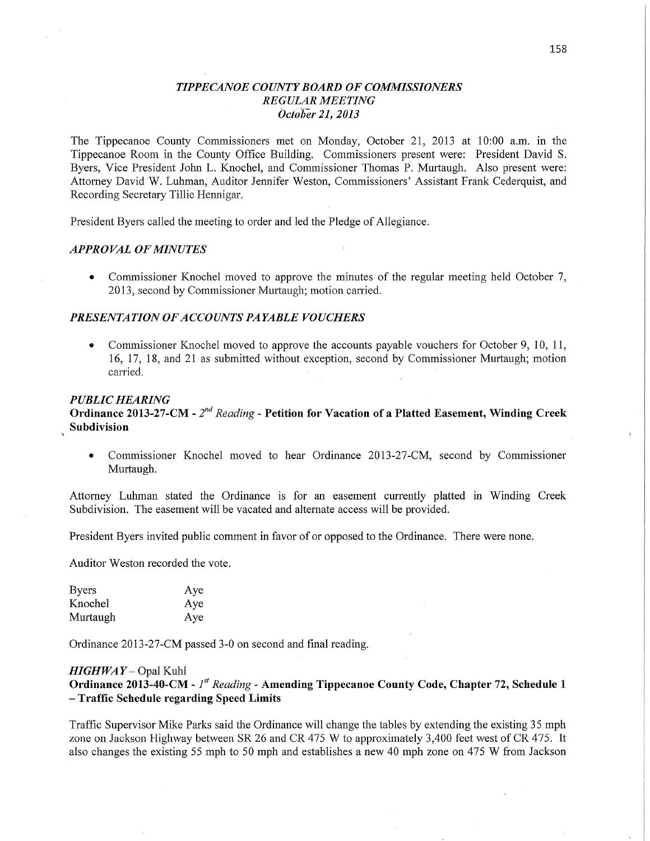## *T IPPECANOE COUNT Y BOARD* OF *COMMISSIONERS REGULAR MEETING Octbbér* 21, *2013*

The Tippecanoe County Commissioners met on Monday, October 21, 2013 at 10:00 am. in the Tippecanoe Room in the County Office Building. Commissioners present were: President David S. Byers, Vice President John L. Knochel, and Commissioner Thomas P. Murtaugh. Also present were: Attorney David W. Luhman, Auditor Jennifer Weston, Commissioners' Assistant **Frank** Cederquist, and Recording Secretary Tillie Hennigar.

President Byers called the meeting to order and led the Pledge of Allegiance.

### *APPROVAL* OF *MINUTES*

**0** Commissioner Knochel moved to approve the minutes of the regular meeting held October 7, 2013, second by Commissioner Murtaugh; motion carried.

### **PRESENTATION OF ACCOUNTS PAYABLE VOUCHERS**

**0** Commissioner Knochel moved to approve the accounts payable vouchers for October 9, 10, 11, 16, 17, 18, and 21 as submitted without ex'ception, second by Commissioner Murtaugh; motion carried. *Carried Carried***</del> <b>***Carried Carried***</del> <b>***Carried Carried***</del> <b>***Carried Carried***</del> <b>***Carried Carried***</del> <b>***Carried***</del>** 

#### *PUBLIC HEARING*

Ordinance **2013-27-CM** *-* 2'" *Reading -* Petition for **Vacation** of **a Platted Easement,** Winding **Creek**  Subdivision

**0** Commissioner Knochel moved to hear Ordinance 2013-27-CM, second by Commissioner Murtaugh.

Attorney Luhman stated the Ordinance is for an easement currently platted in Winding Creek Subdivision. The easement will be vacated and alternate access will be provided.

President Byers invited public comment in favor of or opposed to the Ordinance. There were none.

Auditor Weston recorded the vote.

| <b>Byers</b> | Aye |
|--------------|-----|
| Knochel      | Aye |
| Murtaugh     | Aye |

Ordinance 2013-27-CM passed 3—0 on second and final reading.

#### *HIGHWAY* — Opal Kuhl

**Ordinance 2013-40-CM** *-* 1" *Reading -* Amending **Tippecanoe** County Code, **Chapter** 72, **Schedule <sup>1</sup>— Traffic Schedule regarding Speed** Limits

Traffic Supervisor Mike Parks said the Ordinance will change the tables by extending the existing 35 mph zone on Jackson Highway between SR 26 and CR 475 **W** to approximately 3,400 feet west of CR 475. It also changes the existing 55 mph to 50 mph and establishes a new 40 mph zone on 475 **W** from Jackson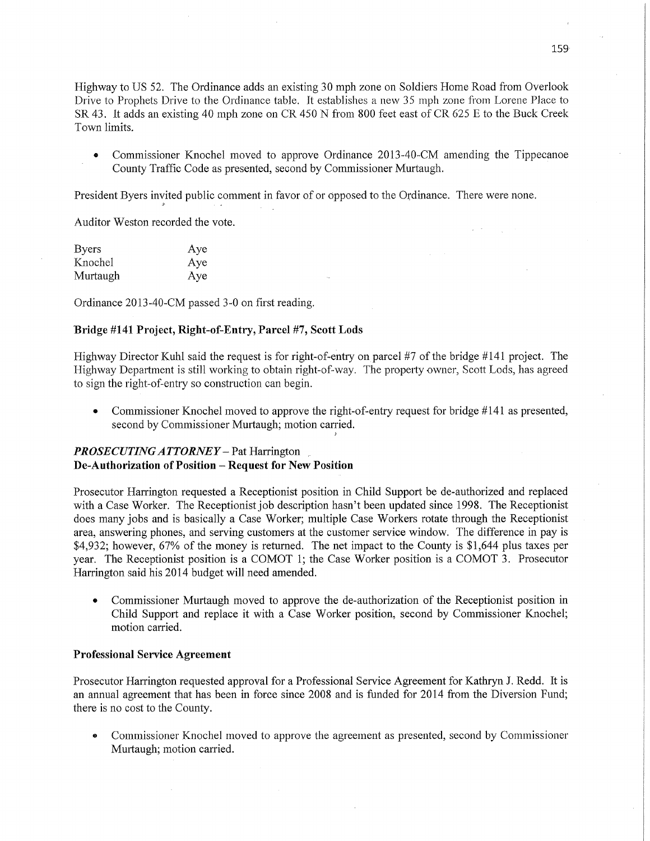Highway to US 52. The Ordinance adds an existing 30 mph zone on Soldiers Home Road from Overlook Drive to Prophets Drive to the Ordinance table. It establishes a new 35 mph zone from Lorene Place to SR 43. It adds an existing 40 mph zone on CR 450 N from 800 feet east of CR 625 E to the Buck Creek Town limits.

**0** Commissioner Knochel moved to approve Ordinance 2013~40~CM amending the Tippecanoe County Traffic Code as presented, second by Commissioner Murtaugh.

President Byers invited public comment in favor of or opposed to the Ordinance. There were none.

Auditor Weston recorded the vote.

| <b>Byers</b> | Aye |
|--------------|-----|
| Knochel      | Aye |
| Murtaugh     | Aye |

Ordinance 2013-40-CM passed 3—0 on first reading.

### Bridge **#141 Project,** Right—of—Entry, **Parcel** #7 *,* Scott **Lods**

Highway Director Kuhl said the request is for right-of-entry on parcel #7 of the bridge #141 project. The Highway Department is still working to obtain right-of-way. The property owner, Scott Lods, has agreed to sign the right-of-entry so construction can begin.

**0** Commissioner Knochel moved to approve the right-of-entry request for bridge #141 as presented, second by Commissioner Murtaugh; motion carried.

# *PROSECUTINGATTORNEY* — Pat Harrington ,, **De-Authorization** of Position **— Request** for New **Position**

Prosecutor Harrington requested a Receptionist position in Child Support be de-authorized and replaced with a Case Worker. The Receptionist job description hasn't been updated since 1998. The Receptionist does many jobs and is basically a Case Worker; multiple Case Workers rotate through the Receptionist area, answering phones, and serving customers at the customer service Window. The difference in pay is \$4,932; however, 67% of the money is returned. The net impact to the County is \$1,644 plus taxes per year. The Receptionist position is a COMOT 1; the Case Worker position is a COMOT 3. Prosecutor Harrington said his 2014 budget will need amended.

**0** Commissioner Murtaugh moved to approve the de-authorization of the Receptionist position in Child Support and replace it with a Case Worker position, second by Commissioner Knochel; motion carried.

## Professional **Service Agreement**

Prosecutor Harrington requested approval for a Professional Service Agreement for Kathryn J. Redd. It is an annual agreement that has been in force since 2008 and is funded for 2014 from the Diversion Fund; there is no cost to the County.

*0* Commissioner Knochel moved to approve the agreement as presented, second by Commissioner Murtaugh; motion carried.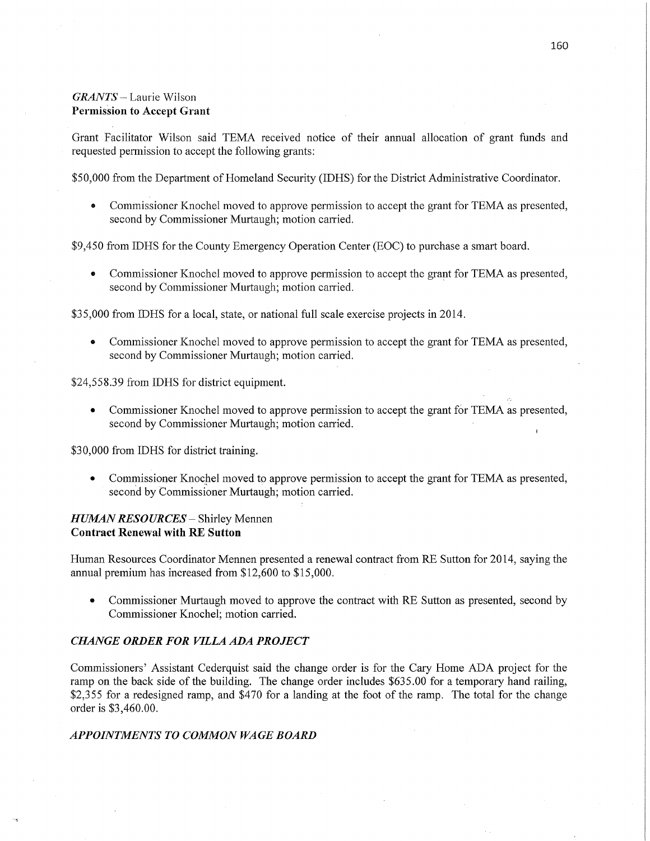# *GRANTS* \_ Laurie Wilson Permission to **Accept Grant**

Grant Facilitator Wilson said TEMA received notice of their annual allocation of grant funds and requested permission to accept the following grants:

\$50,000 from the Department of Homeland Security (IDHS) for the District Administrative Coordinator.

• Commissioner Knochel moved to approve permission to accept the grant for TEMA as presented, second by Commissioner Murtaugh; motion carried.

\$9,450 from IDHS for the County Emergency Operation Center (EOC) to purchase a smart board.

**0** Commissioner Knochel moved to approve permission to accept the grant for TEMA as presented, second by Commissioner Murtaugh; motion carried.

\$35,000 from IDHS for a local, state, or national full scale exercise projects in 2014.

**0** Commissioner Knochel moved to approve permission to accept the grant for TEMA as presented, second by Commissioner Murtaugh; motion carried.

\$24,558.39 from IDHS for district equipment.

**0** Commissioner Knochel moved to approve permission to accept the grant for TEMA as presented, second by Commissioner Murtaugh; motion carried.

\$3 0,000 from IDHS for district training.

**0** Commissioner Knochel moved to approve permission to accept the grant for TEMA as presented, second by Commissioner Murtaugh; motion carried.

# *HUMAN RESOURCES* — Shirley Mennen **Contract Renewal** with RE **Sutton**

Human Resources Coordinator Mennen presented **a** renewal contract from RE Sutton for 2014, saying the annual premium has increased from \$12,600 to \$15,000.

**0** Commissioner Murtaugh moved to approve the contract with RE Sutton as presented, second by Commissioner Knochel; motion carried.

## *CHANGE ORDER* FOR *VILLA* ADA *PROJECT*

Commissioners' Assistant Cederquist said the change order is for the Cary Home ADA project for the ramp on the back side of the building. The change order includes \$635.00 for a temporary hand railing, \$2,355 for a redesigned ramp, and \$470 for a landing at the foot of the ramp. The total for the change order is \$3,460.00.

## *APPOINTMENTS TO COMMON WAGE BOARD*

**I**